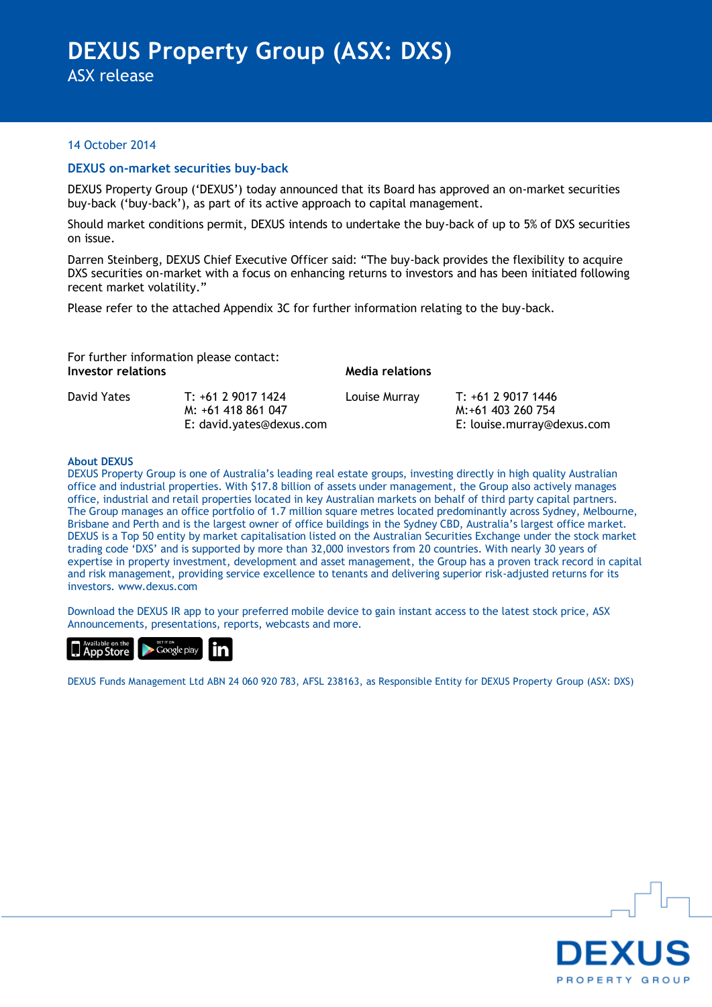ASX release

#### 14 October 2014

#### **DEXUS on-market securities buy-back**

DEXUS Property Group ('DEXUS') today announced that its Board has approved an on-market securities buy-back ('buy-back'), as part of its active approach to capital management.

Should market conditions permit, DEXUS intends to undertake the buy-back of up to 5% of DXS securities on issue.

Darren Steinberg, DEXUS Chief Executive Officer said: "The buy-back provides the flexibility to acquire DXS securities on-market with a focus on enhancing returns to investors and has been initiated following recent market volatility."

Please refer to the attached Appendix 3C for further information relating to the buy-back.

| For further information please contact:<br>Investor relations |                                          | Media relations |                                         |
|---------------------------------------------------------------|------------------------------------------|-----------------|-----------------------------------------|
| David Yates                                                   | T: +61 2 9017 1424<br>M: +61 418 861 047 | Louise Murray   | T: +61 2 9017 1446<br>M:+61 403 260 754 |
|                                                               | E: david.yates@dexus.com                 |                 | E: louise.murray@dexus.com              |

#### **About DEXUS**

DEXUS Property Group is one of Australia's leading real estate groups, investing directly in high quality Australian office and industrial properties. With \$17.8 billion of assets under management, the Group also actively manages office, industrial and retail properties located in key Australian markets on behalf of third party capital partners. The Group manages an office portfolio of 1.7 million square metres located predominantly across Sydney, Melbourne, Brisbane and Perth and is the largest owner of office buildings in the Sydney CBD, Australia's largest office market. DEXUS is a Top 50 entity by market capitalisation listed on the Australian Securities Exchange under the stock market trading code 'DXS' and is supported by more than 32,000 investors from 20 countries. With nearly 30 years of expertise in property investment, development and asset management, the Group has a proven track record in capital and risk management, providing service excellence to tenants and delivering superior risk-adjusted returns for its investors. www.dexus.com

Download the DEXUS IR app to your preferred mobile device to gain instant access to the latest stock price, ASX Announcements, presentations, reports, webcasts and more.



DEXUS Funds Management Ltd ABN 24 060 920 783, AFSL 238163, as Responsible Entity for DEXUS Property Group (ASX: DXS)

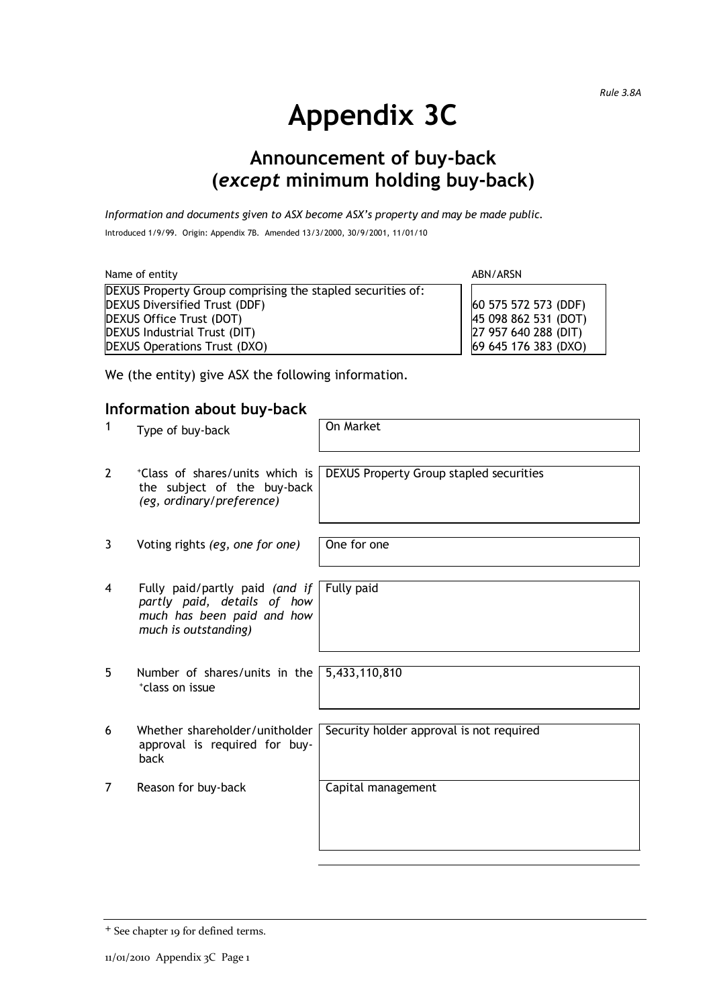# **Appendix 3C**

# **Announcement of buy-back (***except* **minimum holding buy-back)**

*Information and documents given to ASX become ASX's property and may be made public.* Introduced 1/9/99. Origin: Appendix 7B. Amended 13/3/2000, 30/9/2001, 11/01/10

| Name of entity                                             | ABN/ARSN             |
|------------------------------------------------------------|----------------------|
| DEXUS Property Group comprising the stapled securities of: |                      |
| <b>DEXUS Diversified Trust (DDF)</b>                       | 60 575 572 573 (DDF) |
| DEXUS Office Trust (DOT)                                   | 45 098 862 531 (DOT) |
| DEXUS Industrial Trust (DIT)                               | 27 957 640 288 (DIT) |
| <b>DEXUS Operations Trust (DXO)</b>                        | 69 645 176 383 (DXO) |

We (the entity) give ASX the following information.

## **Information about buy-back**

| 1              | Type of buy-back                                                                                                    | On Market                                |
|----------------|---------------------------------------------------------------------------------------------------------------------|------------------------------------------|
| $\overline{2}$ | *Class of shares/units which is<br>the subject of the buy-back<br>(eg, ordinary/preference)                         | DEXUS Property Group stapled securities  |
| 3              | Voting rights (eg, one for one)                                                                                     | One for one                              |
| 4              | Fully paid/partly paid (and if<br>partly paid, details of how<br>much has been paid and how<br>much is outstanding) | Fully paid                               |
| 5              | Number of shares/units in the<br>*class on issue                                                                    | 5,433,110,810                            |
| 6              | Whether shareholder/unitholder<br>approval is required for buy-<br>back                                             | Security holder approval is not required |
| 7              | Reason for buy-back                                                                                                 | Capital management                       |

<sup>+</sup> See chapter 19 for defined terms.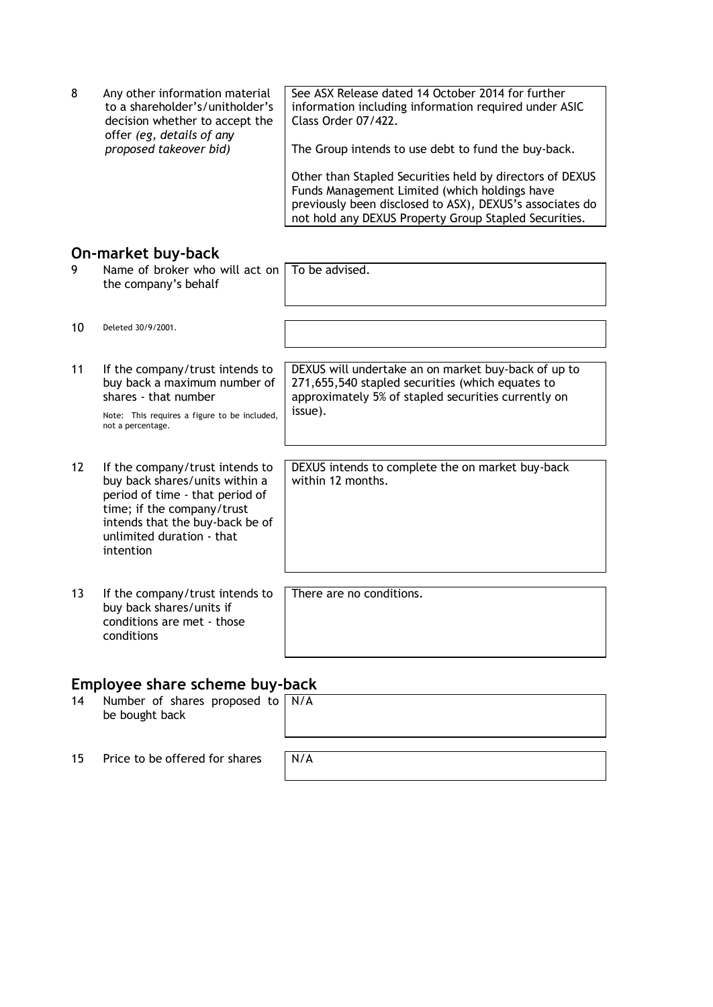8 Any other information material to a shareholder's/unitholder's decision whether to accept the offer *(eg, details of any proposed takeover bid)* See ASX Release dated 14 October 2014 for further information including information required under ASIC Class Order 07/422. The Group intends to use debt to fund the buy-back. Other than Stapled Securities held by directors of DEXUS Funds Management Limited (which holdings have previously been disclosed to ASX), DEXUS's associates do

not hold any DEXUS Property Group Stapled Securities.

#### **On-market buy-back**

| 9                 | Name of broker who will act on<br>the company's behalf                                                                                                                                                          | To be advised.                                                                                                                                                            |
|-------------------|-----------------------------------------------------------------------------------------------------------------------------------------------------------------------------------------------------------------|---------------------------------------------------------------------------------------------------------------------------------------------------------------------------|
| 10                | Deleted 30/9/2001.                                                                                                                                                                                              |                                                                                                                                                                           |
| 11                | If the company/trust intends to<br>buy back a maximum number of<br>shares - that number<br>Note: This requires a figure to be included,<br>not a percentage.                                                    | DEXUS will undertake an on market buy-back of up to<br>271,655,540 stapled securities (which equates to<br>approximately 5% of stapled securities currently on<br>issue). |
| $12 \overline{ }$ | If the company/trust intends to<br>buy back shares/units within a<br>period of time - that period of<br>time; if the company/trust<br>intends that the buy-back be of<br>unlimited duration - that<br>intention | DEXUS intends to complete the on market buy-back<br>within 12 months.                                                                                                     |
| 13                | If the company/trust intends to<br>buy back shares/units if<br>conditions are met - those<br>conditions                                                                                                         | There are no conditions.                                                                                                                                                  |

## **Employee share scheme buy-back**

| 14 | Number of shares proposed to   N/A<br>be bought back |  |
|----|------------------------------------------------------|--|
|    |                                                      |  |

15 Price to be offered for shares  $N/A$